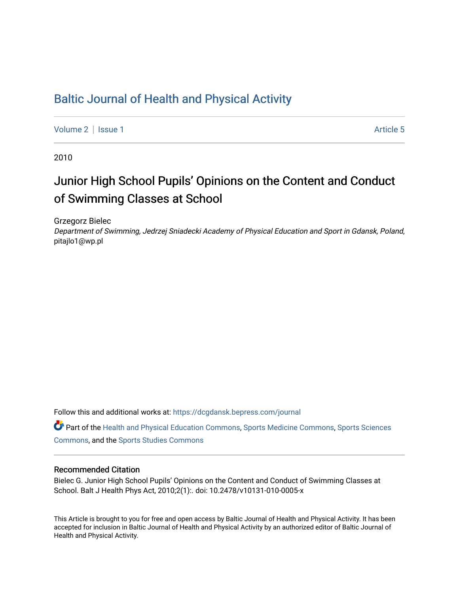# [Baltic Journal of Health and Physical Activity](https://dcgdansk.bepress.com/journal)

[Volume 2](https://dcgdansk.bepress.com/journal/vol2) | [Issue 1](https://dcgdansk.bepress.com/journal/vol2/iss1) Article 5

2010

# Junior High School Pupils' Opinions on the Content and Conduct of Swimming Classes at School

Grzegorz Bielec

Department of Swimming, Jedrzej Sniadecki Academy of Physical Education and Sport in Gdansk, Poland, pitajlo1@wp.pl

Follow this and additional works at: [https://dcgdansk.bepress.com/journal](https://dcgdansk.bepress.com/journal?utm_source=dcgdansk.bepress.com%2Fjournal%2Fvol2%2Fiss1%2F5&utm_medium=PDF&utm_campaign=PDFCoverPages)

Part of the [Health and Physical Education Commons](http://network.bepress.com/hgg/discipline/1327?utm_source=dcgdansk.bepress.com%2Fjournal%2Fvol2%2Fiss1%2F5&utm_medium=PDF&utm_campaign=PDFCoverPages), [Sports Medicine Commons,](http://network.bepress.com/hgg/discipline/1331?utm_source=dcgdansk.bepress.com%2Fjournal%2Fvol2%2Fiss1%2F5&utm_medium=PDF&utm_campaign=PDFCoverPages) [Sports Sciences](http://network.bepress.com/hgg/discipline/759?utm_source=dcgdansk.bepress.com%2Fjournal%2Fvol2%2Fiss1%2F5&utm_medium=PDF&utm_campaign=PDFCoverPages) [Commons](http://network.bepress.com/hgg/discipline/759?utm_source=dcgdansk.bepress.com%2Fjournal%2Fvol2%2Fiss1%2F5&utm_medium=PDF&utm_campaign=PDFCoverPages), and the [Sports Studies Commons](http://network.bepress.com/hgg/discipline/1198?utm_source=dcgdansk.bepress.com%2Fjournal%2Fvol2%2Fiss1%2F5&utm_medium=PDF&utm_campaign=PDFCoverPages) 

#### Recommended Citation

Bielec G. Junior High School Pupils' Opinions on the Content and Conduct of Swimming Classes at School. Balt J Health Phys Act, 2010;2(1):. doi: 10.2478/v10131-010-0005-x

This Article is brought to you for free and open access by Baltic Journal of Health and Physical Activity. It has been accepted for inclusion in Baltic Journal of Health and Physical Activity by an authorized editor of Baltic Journal of Health and Physical Activity.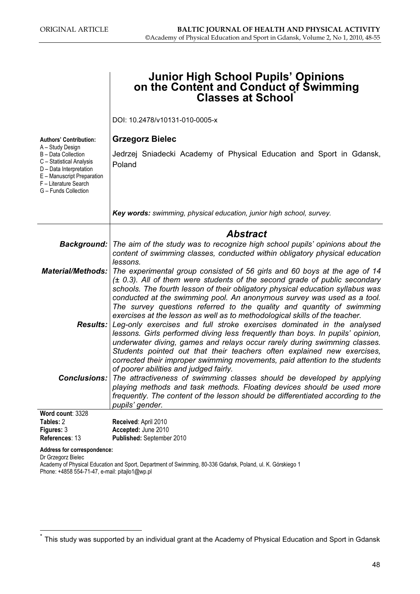|                                                                                                                                                                               | <b>Junior High School Pupils' Opinions</b><br>on the Content and Conduct of Swimming<br><b>Classes at School</b>                                                                                                                                                                                                                                                                                                                                                                |
|-------------------------------------------------------------------------------------------------------------------------------------------------------------------------------|---------------------------------------------------------------------------------------------------------------------------------------------------------------------------------------------------------------------------------------------------------------------------------------------------------------------------------------------------------------------------------------------------------------------------------------------------------------------------------|
|                                                                                                                                                                               | DOI: 10.2478/v10131-010-0005-x                                                                                                                                                                                                                                                                                                                                                                                                                                                  |
| <b>Authors' Contribution:</b>                                                                                                                                                 | <b>Grzegorz Bielec</b>                                                                                                                                                                                                                                                                                                                                                                                                                                                          |
| A - Study Design<br>B - Data Collection<br>C - Statistical Analysis<br>D - Data Interpretation<br>E - Manuscript Preparation<br>F - Literature Search<br>G - Funds Collection | Jedrzej Sniadecki Academy of Physical Education and Sport in Gdansk,<br>Poland                                                                                                                                                                                                                                                                                                                                                                                                  |
|                                                                                                                                                                               | Key words: swimming, physical education, junior high school, survey.                                                                                                                                                                                                                                                                                                                                                                                                            |
|                                                                                                                                                                               | <b>Abstract</b>                                                                                                                                                                                                                                                                                                                                                                                                                                                                 |
|                                                                                                                                                                               | <b>Background:</b> The aim of the study was to recognize high school pupils' opinions about the<br>content of swimming classes, conducted within obligatory physical education<br>lessons.                                                                                                                                                                                                                                                                                      |
| <b>Material/Methods:</b>                                                                                                                                                      | The experimental group consisted of 56 girls and 60 boys at the age of 14<br>$(± 0.3)$ . All of them were students of the second grade of public secondary<br>schools. The fourth lesson of their obligatory physical education syllabus was<br>conducted at the swimming pool. An anonymous survey was used as a tool.<br>The survey questions referred to the quality and quantity of swimming<br>exercises at the lesson as well as to methodological skills of the teacher. |
|                                                                                                                                                                               | <b>Results:</b> Leg-only exercises and full stroke exercises dominated in the analysed<br>lessons. Girls performed diving less frequently than boys. In pupils' opinion,<br>underwater diving, games and relays occur rarely during swimming classes.<br>Students pointed out that their teachers often explained new exercises,<br>corrected their improper swimming movements, paid attention to the students<br>of poorer abilities and judged fairly.                       |
|                                                                                                                                                                               | <b>Conclusions:</b> The attractiveness of swimming classes should be developed by applying<br>playing methods and task methods. Floating devices should be used more<br>frequently. The content of the lesson should be differentiated according to the<br>pupils' gender.                                                                                                                                                                                                      |
| Word count: 3328                                                                                                                                                              |                                                                                                                                                                                                                                                                                                                                                                                                                                                                                 |
| Tables: 2<br>Figures: 3                                                                                                                                                       | Received: April 2010<br>Accepted: June 2010                                                                                                                                                                                                                                                                                                                                                                                                                                     |
| References: 13                                                                                                                                                                | Published: September 2010                                                                                                                                                                                                                                                                                                                                                                                                                                                       |
| Address for correspondence:                                                                                                                                                   |                                                                                                                                                                                                                                                                                                                                                                                                                                                                                 |

Dr Grzegorz Bielec

Academy of Physical Education and Sport, Department of Swimming, 80-336 Gdańsk, Poland, ul. K. Górskiego 1 Phone: +4858 554-71-47, e-mail: pitajlo1@wp.pl

This study was supported by an individual grant at the Academy of Physical Education and Sport in Gdansk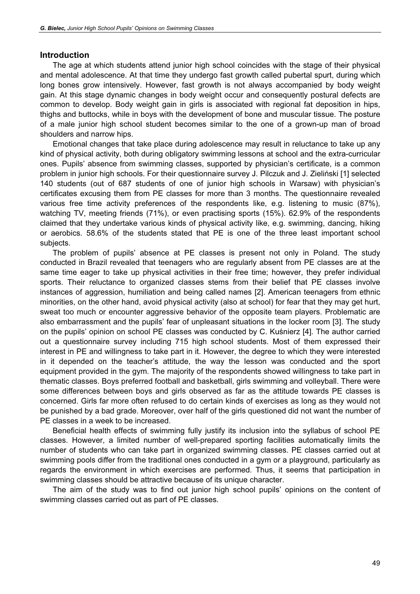#### Introduction

The age at which students attend junior high school coincides with the stage of their physical and mental adolescence. At that time they undergo fast growth called pubertal spurt, during which long bones grow intensively. However, fast growth is not always accompanied by body weight gain. At this stage dynamic changes in body weight occur and consequently postural defects are common to develop. Body weight gain in girls is associated with regional fat deposition in hips, thighs and buttocks, while in boys with the development of bone and muscular tissue. The posture of a male junior high school student becomes similar to the one of a grown-up man of broad shoulders and narrow hips.

Emotional changes that take place during adolescence may result in reluctance to take up any kind of physical activity, both during obligatory swimming lessons at school and the extra-curricular ones. Pupils' absence from swimming classes, supported by physician's certificate, is a common problem in junior high schools. For their questionnaire survey J. Pilczuk and J. Zieliński [1] selected 140 students (out of 687 students of one of junior high schools in Warsaw) with physician's certificates excusing them from PE classes for more than 3 months. The questionnaire revealed various free time activity preferences of the respondents like, e.g. listening to music (87%), watching TV, meeting friends (71%), or even practising sports (15%). 62.9% of the respondents claimed that they undertake various kinds of physical activity like, e.g. swimming, dancing, hiking or aerobics. 58.6% of the students stated that PE is one of the three least important school subjects.

The problem of pupils' absence at PE classes is present not only in Poland. The study conducted in Brazil revealed that teenagers who are regularly absent from PE classes are at the same time eager to take up physical activities in their free time; however, they prefer individual sports. Their reluctance to organized classes stems from their belief that PE classes involve instances of aggression, humiliation and being called names [2]. American teenagers from ethnic minorities, on the other hand, avoid physical activity (also at school) for fear that they may get hurt, sweat too much or encounter aggressive behavior of the opposite team players. Problematic are also embarrassment and the pupils' fear of unpleasant situations in the locker room [3]. The study on the pupils' opinion on school PE classes was conducted by C. Kuśnierz [4]. The author carried out a questionnaire survey including 715 high school students. Most of them expressed their interest in PE and willingness to take part in it. However, the degree to which they were interested in it depended on the teacher's attitude, the way the lesson was conducted and the sport equipment provided in the gym. The majority of the respondents showed willingness to take part in thematic classes. Boys preferred football and basketball, girls swimming and volleyball. There were some differences between boys and girls observed as far as the attitude towards PE classes is concerned. Girls far more often refused to do certain kinds of exercises as long as they would not be punished by a bad grade. Moreover, over half of the girls questioned did not want the number of PE classes in a week to be increased.

Beneficial health effects of swimming fully justify its inclusion into the syllabus of school PE classes. However, a limited number of well-prepared sporting facilities automatically limits the number of students who can take part in organized swimming classes. PE classes carried out at swimming pools differ from the traditional ones conducted in a gym or a playground, particularly as regards the environment in which exercises are performed. Thus, it seems that participation in swimming classes should be attractive because of its unique character.

The aim of the study was to find out junior high school pupils' opinions on the content of swimming classes carried out as part of PE classes.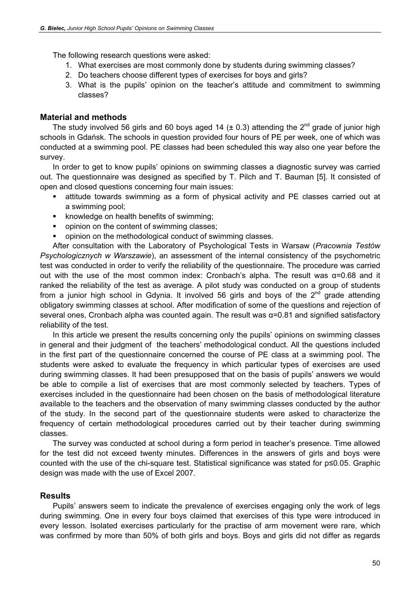The following research questions were asked:

- 1. What exercises are most commonly done by students during swimming classes?
- 2. Do teachers choose different types of exercises for boys and girls?
- 3. What is the pupils' opinion on the teacher's attitude and commitment to swimming classes?

### Material and methods

The study involved 56 girls and 60 boys aged 14 ( $\pm$  0.3) attending the 2<sup>nd</sup> grade of junior high schools in Gdańsk. The schools in question provided four hours of PE per week, one of which was conducted at a swimming pool. PE classes had been scheduled this way also one year before the survey.

In order to get to know pupils' opinions on swimming classes a diagnostic survey was carried out. The questionnaire was designed as specified by T. Pilch and T. Bauman [5]. It consisted of open and closed questions concerning four main issues:

- attitude towards swimming as a form of physical activity and PE classes carried out at a swimming pool;
- knowledge on health benefits of swimming;
- opinion on the content of swimming classes;
- opinion on the methodological conduct of swimming classes.

After consultation with the Laboratory of Psychological Tests in Warsaw (Pracownia Testów Psychologicznych w Warszawie), an assessment of the internal consistency of the psychometric test was conducted in order to verify the reliability of the questionnaire. The procedure was carried out with the use of the most common index: Cronbach's alpha. The result was  $\alpha$ =0.68 and it ranked the reliability of the test as average. A pilot study was conducted on a group of students from a junior high school in Gdynia. It involved 56 girls and boys of the  $2^{nd}$  grade attending obligatory swimming classes at school. After modification of some of the questions and rejection of several ones, Cronbach alpha was counted again. The result was α=0.81 and signified satisfactory reliability of the test.

In this article we present the results concerning only the pupils' opinions on swimming classes in general and their judgment of the teachers' methodological conduct. All the questions included in the first part of the questionnaire concerned the course of PE class at a swimming pool. The students were asked to evaluate the frequency in which particular types of exercises are used during swimming classes. It had been presupposed that on the basis of pupils' answers we would be able to compile a list of exercises that are most commonly selected by teachers. Types of exercises included in the questionnaire had been chosen on the basis of methodological literature available to the teachers and the observation of many swimming classes conducted by the author of the study. In the second part of the questionnaire students were asked to characterize the frequency of certain methodological procedures carried out by their teacher during swimming classes.

The survey was conducted at school during a form period in teacher's presence. Time allowed for the test did not exceed twenty minutes. Differences in the answers of girls and boys were counted with the use of the chi-square test. Statistical significance was stated for p≤0.05. Graphic design was made with the use of Excel 2007.

#### Results

Pupils' answers seem to indicate the prevalence of exercises engaging only the work of legs during swimming. One in every four boys claimed that exercises of this type were introduced in every lesson. Isolated exercises particularly for the practise of arm movement were rare, which was confirmed by more than 50% of both girls and boys. Boys and girls did not differ as regards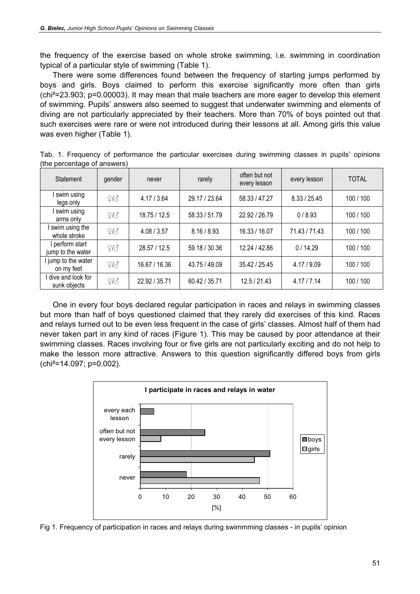the frequency of the exercise based on whole stroke swimming, i.e. swimming in coordination typical of a particular style of swimming (Table 1).

There were some differences found between the frequency of starting jumps performed by boys and girls. Boys claimed to perform this exercise significantly more often than girls (chi²=23.903; p=0.00003). It may mean that male teachers are more eager to develop this element of swimming. Pupils' answers also seemed to suggest that underwater swimming and elements of diving are not particularly appreciated by their teachers. More than 70% of boys pointed out that such exercises were rare or were not introduced during their lessons at all. Among girls this value was even higher (Table 1).

| Statement                            | gender | never         | rarely        | often but not<br>every lesson | every lesson  | <b>TOTAL</b> |
|--------------------------------------|--------|---------------|---------------|-------------------------------|---------------|--------------|
| swim using<br>legs only              | 213    | 4.17/3.64     | 29.17 / 23.64 | 58.33 / 47.27                 | 8.33 / 25.45  | 100/100      |
| swim using<br>arms only              | 213    | 18.75 / 12.5  | 58.33 / 51.79 | 22.92 / 26.79                 | 0/8.93        | 100/100      |
| swim using the<br>whole stroke       | 213    | 4.08 / 3.57   | 8.16 / 8.93   | 16.33 / 16.07                 | 71.43 / 71.43 | 100/100      |
| I perform start<br>jump to the water | 213    | 28.57 / 12.5  | 59.18 / 30.36 | 12.24 / 42.86                 | 0/14.29       | 100/100      |
| I jump to the water<br>on my feet    | 213    | 16.67 / 16.36 | 43.75 / 49.09 | 35.42 / 25.45                 | 4.17 / 9.09   | 100/100      |
| dive and look for<br>sunk objects    | 213    | 22.92 / 35.71 | 60.42 / 35.71 | 12.5 / 21.43                  | 4.17/7.14     | 100/100      |

Tab. 1. Frequency of performance the particular exercises during swimming classes in pupils' opinions (the percentage of answers)

One in every four boys declared regular participation in races and relays in swimming classes but more than half of boys questioned claimed that they rarely did exercises of this kind. Races and relays turned out to be even less frequent in the case of girls' classes. Almost half of them had never taken part in any kind of races (Figure 1). This may be caused by poor attendance at their swimming classes. Races involving four or five girls are not particularly exciting and do not help to make the lesson more attractive. Answers to this question significantly differed boys from girls (chi²=14.097; p=0.002).



Fig 1. Frequency of participation in races and relays during swimmming classes - in pupils' opinion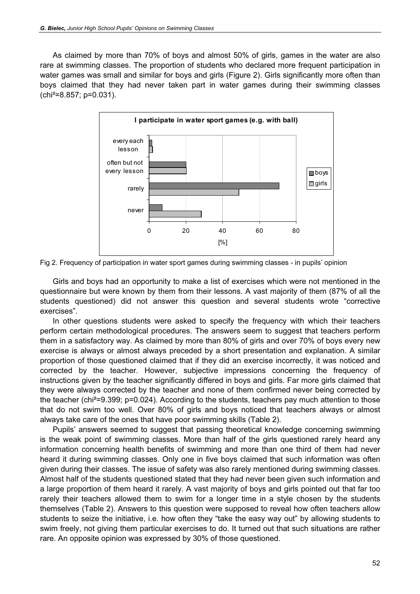As claimed by more than 70% of boys and almost 50% of girls, games in the water are also rare at swimming classes. The proportion of students who declared more frequent participation in water games was small and similar for boys and girls (Figure 2). Girls significantly more often than boys claimed that they had never taken part in water games during their swimming classes (chi²=8.857; p=0.031).



Fig 2. Frequency of participation in water sport games during swimming classes - in pupils' opinion

Girls and boys had an opportunity to make a list of exercises which were not mentioned in the questionnaire but were known by them from their lessons. A vast majority of them (87% of all the students questioned) did not answer this question and several students wrote "corrective exercises".

In other questions students were asked to specify the frequency with which their teachers perform certain methodological procedures. The answers seem to suggest that teachers perform them in a satisfactory way. As claimed by more than 80% of girls and over 70% of boys every new exercise is always or almost always preceded by a short presentation and explanation. A similar proportion of those questioned claimed that if they did an exercise incorrectly, it was noticed and corrected by the teacher. However, subjective impressions concerning the frequency of instructions given by the teacher significantly differed in boys and girls. Far more girls claimed that they were always corrected by the teacher and none of them confirmed never being corrected by the teacher (chi²=9.399; p=0.024). According to the students, teachers pay much attention to those that do not swim too well. Over 80% of girls and boys noticed that teachers always or almost always take care of the ones that have poor swimming skills (Table 2).

Pupils' answers seemed to suggest that passing theoretical knowledge concerning swimming is the weak point of swimming classes. More than half of the girls questioned rarely heard any information concerning health benefits of swimming and more than one third of them had never heard it during swimming classes. Only one in five boys claimed that such information was often given during their classes. The issue of safety was also rarely mentioned during swimming classes. Almost half of the students questioned stated that they had never been given such information and a large proportion of them heard it rarely. A vast majority of boys and girls pointed out that far too rarely their teachers allowed them to swim for a longer time in a style chosen by the students themselves (Table 2). Answers to this question were supposed to reveal how often teachers allow students to seize the initiative, i.e. how often they "take the easy way out" by allowing students to swim freely, not giving them particular exercises to do. It turned out that such situations are rather rare. An opposite opinion was expressed by 30% of those questioned.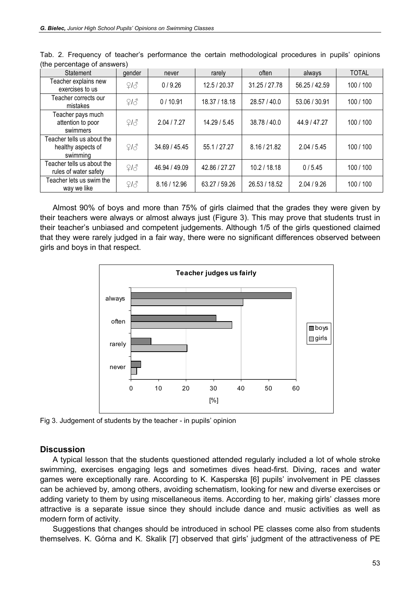| the percentage of answers,<br>Statement                      | gender |               | rarely        | often         | always        | <b>TOTAL</b> |
|--------------------------------------------------------------|--------|---------------|---------------|---------------|---------------|--------------|
|                                                              |        | never         |               |               |               |              |
| Teacher explains new<br>exercises to us                      | 213    | 0/9.26        | 12.5 / 20.37  | 31.25 / 27.78 | 56.25 / 42.59 | 100/100      |
| Teacher corrects our<br>mistakes                             | 213    | 0/10.91       | 18.37 / 18.18 | 28.57 / 40.0  | 53.06 / 30.91 | 100/100      |
| Teacher pays much<br>attention to poor<br>swimmers           | 213    | 2.04 / 7.27   | 14.29/5.45    | 38.78 / 40.0  | 44.9 / 47.27  | 100/100      |
| Teacher tells us about the<br>healthy aspects of<br>swimming | 213    | 34.69 / 45.45 | 55.1 / 27.27  | 8.16 / 21.82  | 2.04 / 5.45   | 100/100      |
| Teacher tells us about the<br>rules of water safety          | 213    | 46.94 / 49.09 | 42.86 / 27.27 | 10.2 / 18.18  | 0/5.45        | 100/100      |
| Teacher lets us swim the<br>way we like                      | 213    | 8.16 / 12.96  | 63.27 / 59.26 | 26.53 / 18.52 | 2.04 / 9.26   | 100/100      |

Tab. 2. Frequency of teacher's performance the certain methodological procedures in pupils' opinions (the percentage of answers)

Almost 90% of boys and more than 75% of girls claimed that the grades they were given by their teachers were always or almost always just (Figure 3). This may prove that students trust in their teacher's unbiased and competent judgements. Although 1/5 of the girls questioned claimed that they were rarely judged in a fair way, there were no significant differences observed between girls and boys in that respect.



Fig 3. Judgement of students by the teacher - in pupils' opinion

#### **Discussion**

A typical lesson that the students questioned attended regularly included a lot of whole stroke swimming, exercises engaging legs and sometimes dives head-first. Diving, races and water games were exceptionally rare. According to K. Kasperska [6] pupils' involvement in PE classes can be achieved by, among others, avoiding schematism, looking for new and diverse exercises or adding variety to them by using miscellaneous items. According to her, making girls' classes more attractive is a separate issue since they should include dance and music activities as well as modern form of activity.

Suggestions that changes should be introduced in school PE classes come also from students themselves. K. Górna and K. Skalik [7] observed that girls' judgment of the attractiveness of PE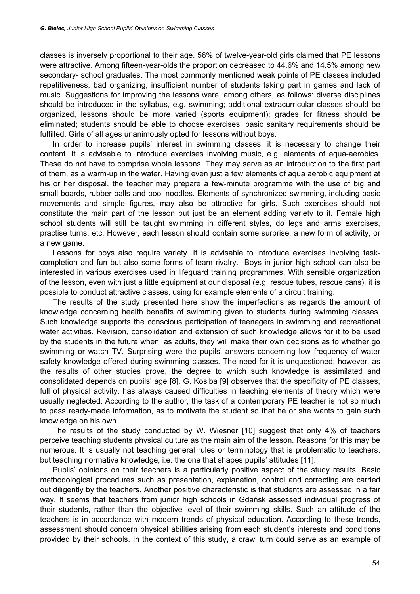classes is inversely proportional to their age. 56% of twelve-year-old girls claimed that PE lessons were attractive. Among fifteen-year-olds the proportion decreased to 44.6% and 14.5% among new secondary- school graduates. The most commonly mentioned weak points of PE classes included repetitiveness, bad organizing, insufficient number of students taking part in games and lack of music. Suggestions for improving the lessons were, among others, as follows: diverse disciplines should be introduced in the syllabus, e.g. swimming; additional extracurricular classes should be organized, lessons should be more varied (sports equipment); grades for fitness should be eliminated; students should be able to choose exercises; basic sanitary requirements should be fulfilled. Girls of all ages unanimously opted for lessons without boys.

In order to increase pupils' interest in swimming classes, it is necessary to change their content. It is advisable to introduce exercises involving music, e.g. elements of aqua-aerobics. These do not have to comprise whole lessons. They may serve as an introduction to the first part of them, as a warm-up in the water. Having even just a few elements of aqua aerobic equipment at his or her disposal, the teacher may prepare a few-minute programme with the use of big and small boards, rubber balls and pool noodles. Elements of synchronized swimming, including basic movements and simple figures, may also be attractive for girls. Such exercises should not constitute the main part of the lesson but just be an element adding variety to it. Female high school students will still be taught swimming in different styles, do legs and arms exercises, practise turns, etc. However, each lesson should contain some surprise, a new form of activity, or a new game.

Lessons for boys also require variety. It is advisable to introduce exercises involving taskcompletion and fun but also some forms of team rivalry. Boys in junior high school can also be interested in various exercises used in lifeguard training programmes. With sensible organization of the lesson, even with just a little equipment at our disposal (e.g. rescue tubes, rescue cans), it is possible to conduct attractive classes, using for example elements of a circuit training.

The results of the study presented here show the imperfections as regards the amount of knowledge concerning health benefits of swimming given to students during swimming classes. Such knowledge supports the conscious participation of teenagers in swimming and recreational water activities. Revision, consolidation and extension of such knowledge allows for it to be used by the students in the future when, as adults, they will make their own decisions as to whether go swimming or watch TV. Surprising were the pupils' answers concerning low frequency of water safety knowledge offered during swimming classes. The need for it is unquestioned; however, as the results of other studies prove, the degree to which such knowledge is assimilated and consolidated depends on pupils' age [8]. G. Kosiba [9] observes that the specificity of PE classes, full of physical activity, has always caused difficulties in teaching elements of theory which were usually neglected. According to the author, the task of a contemporary PE teacher is not so much to pass ready-made information, as to motivate the student so that he or she wants to gain such knowledge on his own.

The results of the study conducted by W. Wiesner [10] suggest that only 4% of teachers perceive teaching students physical culture as the main aim of the lesson. Reasons for this may be numerous. It is usually not teaching general rules or terminology that is problematic to teachers, but teaching normative knowledge, i.e. the one that shapes pupils' attitudes [11].

Pupils' opinions on their teachers is a particularly positive aspect of the study results. Basic methodological procedures such as presentation, explanation, control and correcting are carried out diligently by the teachers. Another positive characteristic is that students are assessed in a fair way. It seems that teachers from junior high schools in Gdańsk assessed individual progress of their students, rather than the objective level of their swimming skills. Such an attitude of the teachers is in accordance with modern trends of physical education. According to these trends, assessment should concern physical abilities arising from each student's interests and conditions provided by their schools. In the context of this study, a crawl turn could serve as an example of